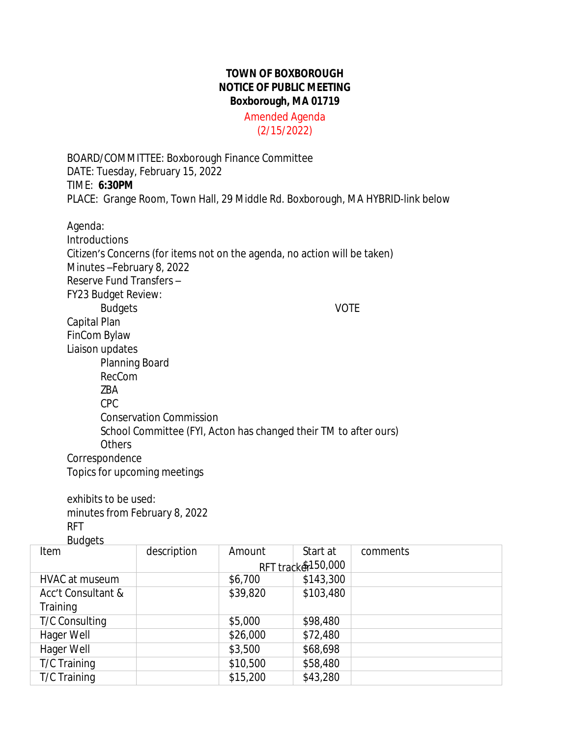## **TOWN OF BOXBOROUGH NOTICE OF PUBLIC MEETING Boxborough, MA 01719**

Amended Agenda (2/15/2022)

BOARD/COMMITTEE: Boxborough Finance Committee DATE: Tuesday, February 15, 2022 TIME: **6:30PM** PLACE: Grange Room, Town Hall, 29 Middle Rd. Boxborough, MA HYBRID-link below

Agenda: **Introductions** Citizen's Concerns (for items not on the agenda, no action will be taken) Minutes –February 8, 2022 Reserve Fund Transfers – FY23 Budget Review: Budgets VOTE Capital Plan FinCom Bylaw Liaison updates Planning Board RecCom ZBA CPC Conservation Commission School Committee (FYI, Acton has changed their TM to after ours) **Others** Correspondence Topics for upcoming meetings

exhibits to be used: minutes from February 8, 2022 RFT

Item description Amount Start at RFT track&150,000 comments HVAC at museum \$6,700 \$143,300 Acc't Consultant & **Training** \$39,820 \$103,480 T/C Consulting  $\frac{1}{2}$  \$5,000 \$98,480 Hager Well  $$26,000$  \$72,480 Hager Well  $$3,500$  \$68,698 T/C Training 10,500 \$58,480 T/C Training 15,200 \$43,280 Budgets